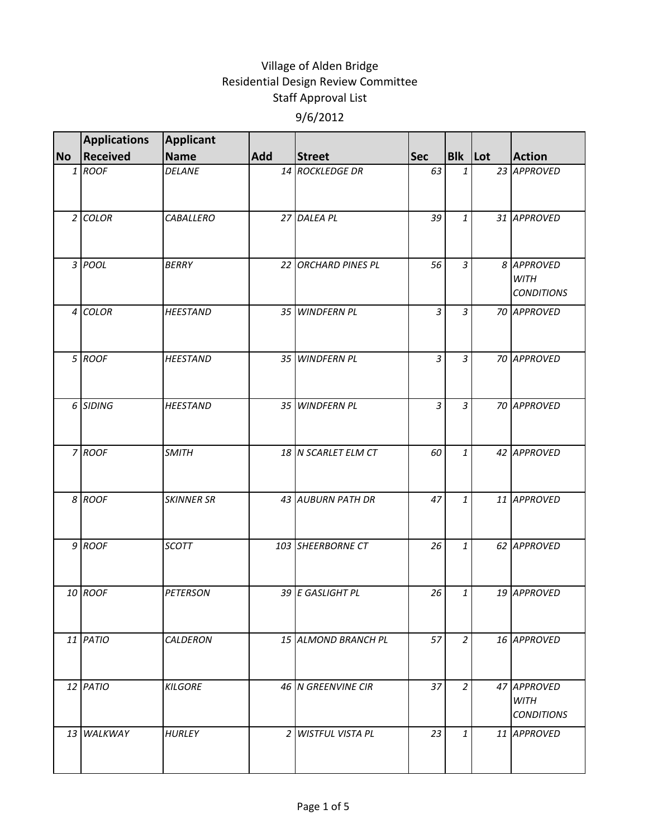|           | <b>Applications</b> | Applicant         |            |                     |                |                |                                                 |
|-----------|---------------------|-------------------|------------|---------------------|----------------|----------------|-------------------------------------------------|
| <b>No</b> | Received            | <b>Name</b>       | <b>Add</b> | <b>Street</b>       | <b>Sec</b>     | <b>Blk</b> Lot | <b>Action</b>                                   |
|           | 1 ROOF              | <b>DELANE</b>     |            | 14 ROCKLEDGE DR     | 63             | 1              | 23 APPROVED                                     |
|           | $2$ COLOR           | CABALLERO         |            | 27 DALEA PL         | 39             | $\mathbf{1}$   | 31 APPROVED                                     |
|           | 3 POOL              | <b>BERRY</b>      |            | 22 ORCHARD PINES PL | 56             | $\overline{3}$ | 8 APPROVED<br><b>WITH</b><br><b>CONDITIONS</b>  |
|           | 4 COLOR             | <b>HEESTAND</b>   |            | 35 WINDFERN PL      | $\overline{3}$ | 3              | 70 APPROVED                                     |
|           | 5 ROOF              | <b>HEESTAND</b>   |            | 35 WINDFERN PL      | $\overline{3}$ | 3              | 70 APPROVED                                     |
|           | 6 SIDING            | <b>HEESTAND</b>   |            | 35 WINDFERN PL      | $\overline{3}$ | $\overline{3}$ | 70 APPROVED                                     |
|           | 7 ROOF              | <b>SMITH</b>      |            | 18 N SCARLET ELM CT | 60             | 1              | 42 APPROVED                                     |
|           | 8 ROOF              | <b>SKINNER SR</b> |            | 43 AUBURN PATH DR   | 47             | 1              | 11 APPROVED                                     |
|           | 9 ROOF              | <b>SCOTT</b>      |            | 103 SHEERBORNE CT   | 26             | $\mathbf{1}$   | 62 APPROVED                                     |
|           | 10 ROOF             | <b>PETERSON</b>   |            | 39 E GASLIGHT PL    | 26             | 1              | 19 APPROVED                                     |
|           | 11 PATIO            | CALDERON          |            | 15 ALMOND BRANCH PL | 57             | $\overline{2}$ | 16 APPROVED                                     |
|           | 12 PATIO            | <b>KILGORE</b>    |            | 46 N GREENVINE CIR  | 37             | $\overline{a}$ | 47 APPROVED<br><b>WITH</b><br><b>CONDITIONS</b> |
|           | 13 WALKWAY          | <b>HURLEY</b>     |            | 2 WISTFUL VISTA PL  | 23             | 1              | 11 APPROVED                                     |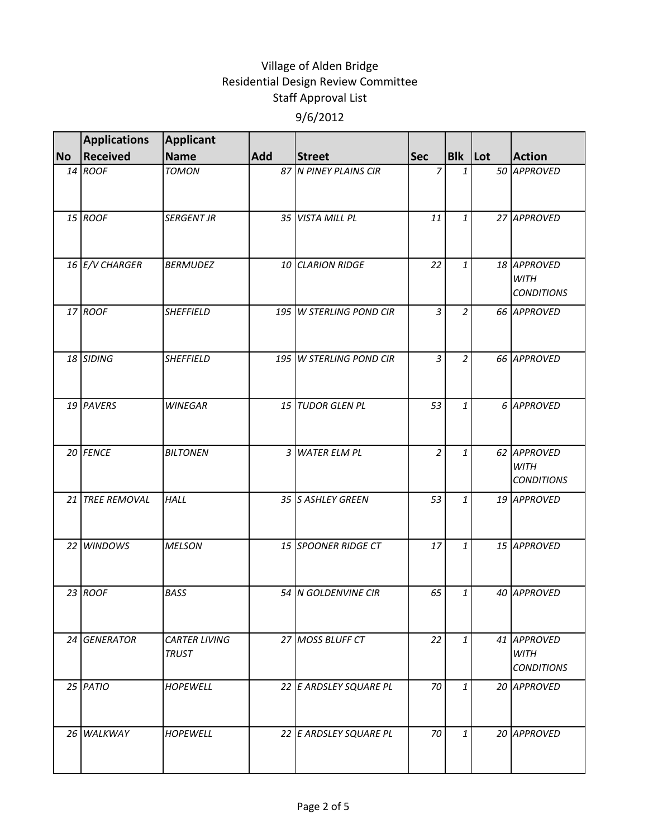|           | <b>Applications</b> | <b>Applicant</b>                     |     |                         |                |                |                                                 |
|-----------|---------------------|--------------------------------------|-----|-------------------------|----------------|----------------|-------------------------------------------------|
| <b>No</b> | <b>Received</b>     | <b>Name</b>                          | Add | <b>Street</b>           | <b>Sec</b>     | Blk Lot        | <b>Action</b>                                   |
|           | 14 ROOF             | <b>TOMON</b>                         |     | 87 N PINEY PLAINS CIR   | 7              | $\mathbf{1}$   | 50 APPROVED                                     |
|           | 15 ROOF             | <b>SERGENT JR</b>                    |     | 35 VISTA MILL PL        | 11             | 1              | 27 APPROVED                                     |
|           | 16 E/V CHARGER      | <b>BERMUDEZ</b>                      |     | 10 CLARION RIDGE        | 22             | $\mathbf{1}$   | 18 APPROVED<br><b>WITH</b><br><b>CONDITIONS</b> |
|           | 17 ROOF             | <b>SHEFFIELD</b>                     |     | 195 W STERLING POND CIR | $\overline{3}$ | $\overline{2}$ | 66 APPROVED                                     |
|           | 18 SIDING           | <b>SHEFFIELD</b>                     |     | 195 W STERLING POND CIR | $\overline{3}$ | $\overline{2}$ | 66 APPROVED                                     |
|           | 19 PAVERS           | <b>WINEGAR</b>                       |     | 15 TUDOR GLEN PL        | 53             | $\mathbf{1}$   | 6 APPROVED                                      |
|           | 20 FENCE            | <b>BILTONEN</b>                      |     | 3 WATER ELM PL          | $\overline{2}$ | $\mathbf{1}$   | 62 APPROVED<br><b>WITH</b><br><b>CONDITIONS</b> |
|           | 21 TREE REMOVAL     | <b>HALL</b>                          |     | 35 S ASHLEY GREEN       | 53             | $\mathbf{1}$   | 19 APPROVED                                     |
|           | 22 WINDOWS          | <b>MELSON</b>                        |     | 15 SPOONER RIDGE CT     | 17             | $\mathbf{1}$   | 15 APPROVED                                     |
|           | 23 ROOF             | <b>BASS</b>                          |     | 54 N GOLDENVINE CIR     | 65             | 1              | 40 APPROVED                                     |
|           | 24 GENERATOR        | <b>CARTER LIVING</b><br><b>TRUST</b> |     | 27 MOSS BLUFF CT        | 22             | $\mathbf{1}$   | 41 APPROVED<br><b>WITH</b><br><b>CONDITIONS</b> |
|           | $25$ $PATIO$        | <b>HOPEWELL</b>                      |     | 22 E ARDSLEY SQUARE PL  | 70             | $\mathbf{1}$   | 20 APPROVED                                     |
|           | 26 WALKWAY          | <b>HOPEWELL</b>                      |     | 22 E ARDSLEY SQUARE PL  | 70             | $\mathbf{1}$   | 20 APPROVED                                     |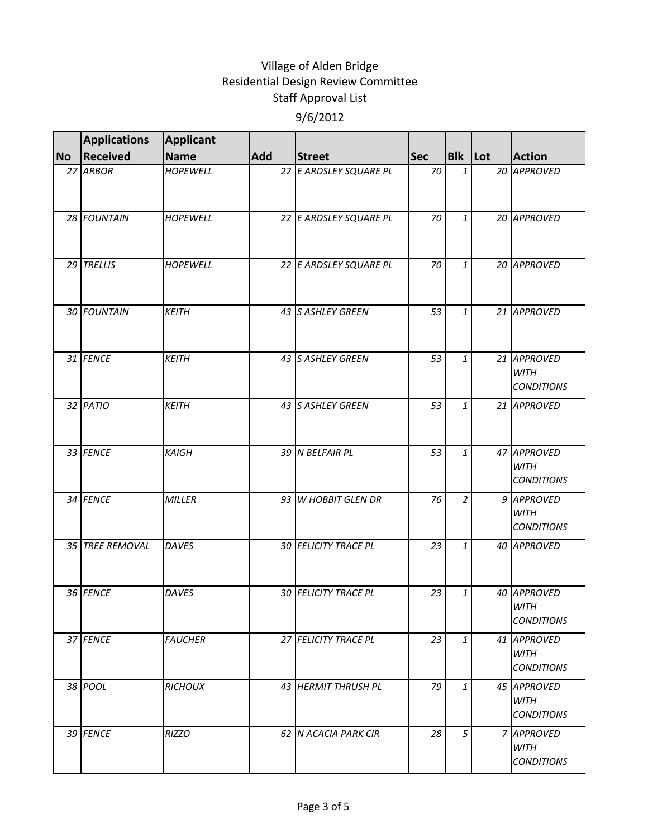|           | <b>Applications</b> | Applicant       |     |                        |            |                |                                                 |
|-----------|---------------------|-----------------|-----|------------------------|------------|----------------|-------------------------------------------------|
| <b>No</b> | <b>Received</b>     | <b>Name</b>     | Add | <b>Street</b>          | <b>Sec</b> | <b>Blk</b> Lot | <b>Action</b>                                   |
|           | 27 ARBOR            | <b>HOPEWELL</b> |     | 22 E ARDSLEY SQUARE PL | 70         | $\mathbf{1}$   | 20 APPROVED                                     |
|           | 28 FOUNTAIN         | <b>HOPEWELL</b> |     | 22 E ARDSLEY SQUARE PL | 70         | 1              | 20 APPROVED                                     |
|           | 29 TRELLIS          | <b>HOPEWELL</b> |     | 22 E ARDSLEY SQUARE PL | 70         | $\mathbf{1}$   | 20 APPROVED                                     |
|           | 30 FOUNTAIN         | <b>KEITH</b>    |     | 43 S ASHLEY GREEN      | 53         | $\mathbf{1}$   | 21 APPROVED                                     |
|           | 31 FENCE            | <b>KEITH</b>    |     | 43 S ASHLEY GREEN      | 53         | $\mathbf{1}$   | 21 APPROVED<br><b>WITH</b><br><b>CONDITIONS</b> |
|           | 32 PATIO            | <b>KEITH</b>    |     | 43 S ASHLEY GREEN      | 53         | $\mathbf{1}$   | 21 APPROVED                                     |
|           | 33 FENCE            | <b>KAIGH</b>    |     | 39 N BELFAIR PL        | 53         | 1              | 47 APPROVED<br><b>WITH</b><br><b>CONDITIONS</b> |
|           | 34 FENCE            | <b>MILLER</b>   |     | 93 W HOBBIT GLEN DR    | 76         | $\overline{2}$ | 9 APPROVED<br><b>WITH</b><br><b>CONDITIONS</b>  |
|           | 35 TREE REMOVAL     | <b>DAVES</b>    |     | 30 FELICITY TRACE PL   | 23         | $\mathbf{1}$   | 40 APPROVED                                     |
|           | 36 FENCE            | DAVES           |     | 30 FELICITY TRACE PL   | 23         | 1              | 40 APPROVED<br><b>WITH</b><br><b>CONDITIONS</b> |
|           | 37 FENCE            | <b>FAUCHER</b>  |     | 27 FELICITY TRACE PL   | 23         | $\mathbf{1}$   | 41 APPROVED<br><b>WITH</b><br><b>CONDITIONS</b> |
|           | 38 POOL             | <b>RICHOUX</b>  |     | 43 HERMIT THRUSH PL    | 79         | $\mathbf{1}$   | 45 APPROVED<br><b>WITH</b><br><b>CONDITIONS</b> |
|           | 39 FENCE            | <b>RIZZO</b>    |     | 62 N ACACIA PARK CIR   | 28         | 5              | 7 APPROVED<br>WITH<br><b>CONDITIONS</b>         |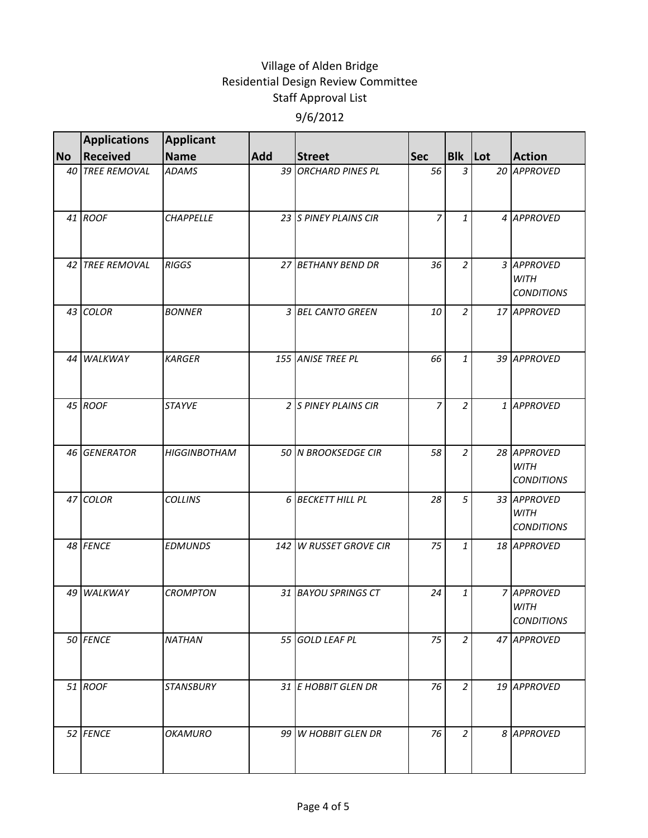|           | <b>Applications</b> | <b>Applicant</b>    |     |                        |                |                |                                                 |
|-----------|---------------------|---------------------|-----|------------------------|----------------|----------------|-------------------------------------------------|
| <b>No</b> | <b>Received</b>     | <b>Name</b>         | Add | <b>Street</b>          | <b>Sec</b>     | <b>Blk</b> Lot | <b>Action</b>                                   |
|           | 40 TREE REMOVAL     | <b>ADAMS</b>        |     | 39 ORCHARD PINES PL    | 56             | $\overline{3}$ | 20 APPROVED                                     |
|           | 41 ROOF             | <b>CHAPPELLE</b>    |     | 23 S PINEY PLAINS CIR  | $\overline{z}$ | 1              | 4 APPROVED                                      |
|           | 42 TREE REMOVAL     | <b>RIGGS</b>        |     | 27 BETHANY BEND DR     | 36             | $\overline{2}$ | 3 APPROVED<br><b>WITH</b><br><b>CONDITIONS</b>  |
|           | 43 COLOR            | <b>BONNER</b>       |     | 3 BEL CANTO GREEN      | 10             | $\overline{2}$ | 17 APPROVED                                     |
|           | 44 WALKWAY          | <b>KARGER</b>       |     | 155 ANISE TREE PL      | 66             | 1              | 39 APPROVED                                     |
|           | 45 ROOF             | <b>STAYVE</b>       |     | 2 S PINEY PLAINS CIR   | $\overline{z}$ | $\overline{2}$ | 1 APPROVED                                      |
|           | 46 GENERATOR        | <b>HIGGINBOTHAM</b> |     | 50 N BROOKSEDGE CIR    | 58             | $\overline{2}$ | 28 APPROVED<br><b>WITH</b><br><b>CONDITIONS</b> |
|           | 47 COLOR            | <b>COLLINS</b>      |     | 6 BECKETT HILL PL      | 28             | 5              | 33 APPROVED<br><b>WITH</b><br><b>CONDITIONS</b> |
|           | 48 FENCE            | <b>EDMUNDS</b>      |     | 142 W RUSSET GROVE CIR | 75             | $\mathbf{1}$   | 18 APPROVED                                     |
|           | 49 WALKWAY          | <b>CROMPTON</b>     |     | 31 BAYOU SPRINGS CT    | 24             | 1              | 7 APPROVED<br><b>WITH</b><br><b>CONDITIONS</b>  |
|           | 50 FENCE            | <b>NATHAN</b>       |     | 55 GOLD LEAF PL        | 75             | $\overline{2}$ | 47 APPROVED                                     |
|           | 51 ROOF             | STANSBURY           |     | 31 E HOBBIT GLEN DR    | 76             | $\overline{2}$ | 19 APPROVED                                     |
|           | 52 FENCE            | OKAMURO             |     | 99 W HOBBIT GLEN DR    | 76             | $\overline{2}$ | 8 APPROVED                                      |
|           |                     |                     |     |                        |                |                |                                                 |